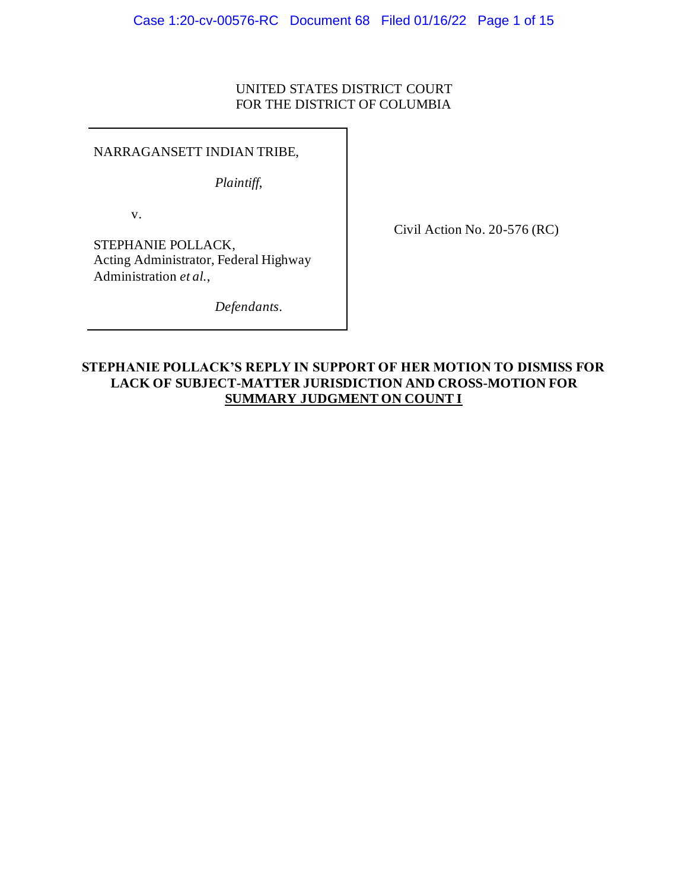# UNITED STATES DISTRICT COURT FOR THE DISTRICT OF COLUMBIA

NARRAGANSETT INDIAN TRIBE,

*Plaintiff*,

v.

Civil Action No. 20-576 (RC)

STEPHANIE POLLACK, Acting Administrator, Federal Highway Administration *et al.*,

*Defendants*.

# **STEPHANIE POLLACK'S REPLY IN SUPPORT OF HER MOTION TO DISMISS FOR LACK OF SUBJECT-MATTER JURISDICTION AND CROSS-MOTION FOR SUMMARY JUDGMENT ON COUNT I**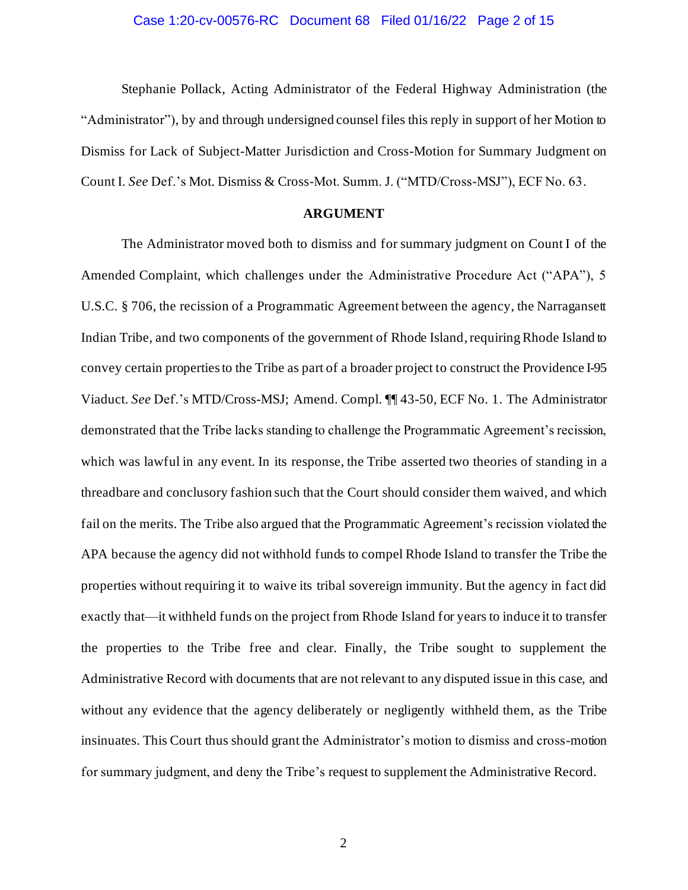## Case 1:20-cv-00576-RC Document 68 Filed 01/16/22 Page 2 of 15

Stephanie Pollack, Acting Administrator of the Federal Highway Administration (the "Administrator"), by and through undersigned counsel files this reply in support of her Motion to Dismiss for Lack of Subject-Matter Jurisdiction and Cross-Motion for Summary Judgment on Count I. *See* Def.'s Mot. Dismiss & Cross-Mot. Summ. J. ("MTD/Cross-MSJ"), ECF No. 63.

## **ARGUMENT**

The Administrator moved both to dismiss and for summary judgment on Count I of the Amended Complaint, which challenges under the Administrative Procedure Act ("APA"), 5 U.S.C. § 706, the recission of a Programmatic Agreement between the agency, the Narragansett Indian Tribe, and two components of the government of Rhode Island, requiring Rhode Island to convey certain properties to the Tribe as part of a broader project to construct the Providence I-95 Viaduct. *See* Def.'s MTD/Cross-MSJ; Amend. Compl. ¶¶ 43-50, ECF No. 1. The Administrator demonstrated that the Tribe lacks standing to challenge the Programmatic Agreement's recission, which was lawful in any event. In its response, the Tribe asserted two theories of standing in a threadbare and conclusory fashion such that the Court should consider them waived, and which fail on the merits. The Tribe also argued that the Programmatic Agreement's recission violated the APA because the agency did not withhold funds to compel Rhode Island to transfer the Tribe the properties without requiring it to waive its tribal sovereign immunity. But the agency in fact did exactly that—it withheld funds on the project from Rhode Island for years to induce it to transfer the properties to the Tribe free and clear. Finally, the Tribe sought to supplement the Administrative Record with documents that are not relevant to any disputed issue in this case, and without any evidence that the agency deliberately or negligently withheld them, as the Tribe insinuates. This Court thus should grant the Administrator's motion to dismiss and cross-motion for summary judgment, and deny the Tribe's request to supplement the Administrative Record.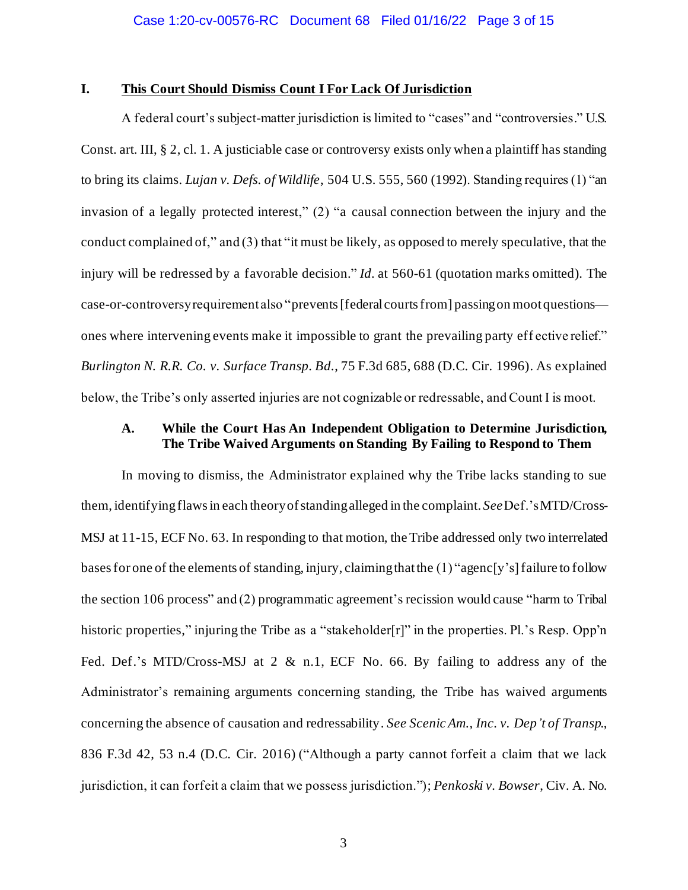## **I. This Court Should Dismiss Count I For Lack Of Jurisdiction**

A federal court's subject-matter jurisdiction is limited to "cases" and "controversies." U.S. Const. art. III, § 2, cl. 1. A justiciable case or controversy exists only when a plaintiff has standing to bring its claims. *Lujan v. Defs. of Wildlife*, 504 U.S. 555, 560 (1992). Standing requires (1) "an invasion of a legally protected interest," (2) "a causal connection between the injury and the conduct complained of," and (3) that "it must be likely, as opposed to merely speculative, that the injury will be redressed by a favorable decision." *Id.* at 560-61 (quotation marks omitted). The case-or-controversy requirement also "prevents [federal courts from] passing on moot questions ones where intervening events make it impossible to grant the prevailing party eff ective relief." *Burlington N. R.R. Co. v. Surface Transp. Bd.*, 75 F.3d 685, 688 (D.C. Cir. 1996). As explained below, the Tribe's only asserted injuries are not cognizable or redressable, and Count I is moot.

# **A. While the Court Has An Independent Obligation to Determine Jurisdiction, The Tribe Waived Arguments on Standing By Failing to Respond to Them**

In moving to dismiss, the Administrator explained why the Tribe lacks standing to sue them, identifyingflaws in each theory of standing alleged in the complaint. *See*Def.'s MTD/Cross-MSJ at 11-15, ECF No. 63. In responding to that motion, the Tribe addressed only two interrelated bases for one of the elements of standing, injury, claiming that the (1) "agenc[y's] failure to follow the section 106 process" and (2) programmatic agreement's recission would cause "harm to Tribal historic properties," injuring the Tribe as a "stakeholder[r]" in the properties. Pl.'s Resp. Opp'n Fed. Def.'s MTD/Cross-MSJ at 2 & n.1, ECF No. 66. By failing to address any of the Administrator's remaining arguments concerning standing, the Tribe has waived arguments concerning the absence of causation and redressability. *See Scenic Am., Inc. v. Dep't of Transp.*, 836 F.3d 42, 53 n.4 (D.C. Cir. 2016) ("Although a party cannot forfeit a claim that we lack jurisdiction, it can forfeit a claim that we possess jurisdiction."); *Penkoski v. Bowser*, Civ. A. No.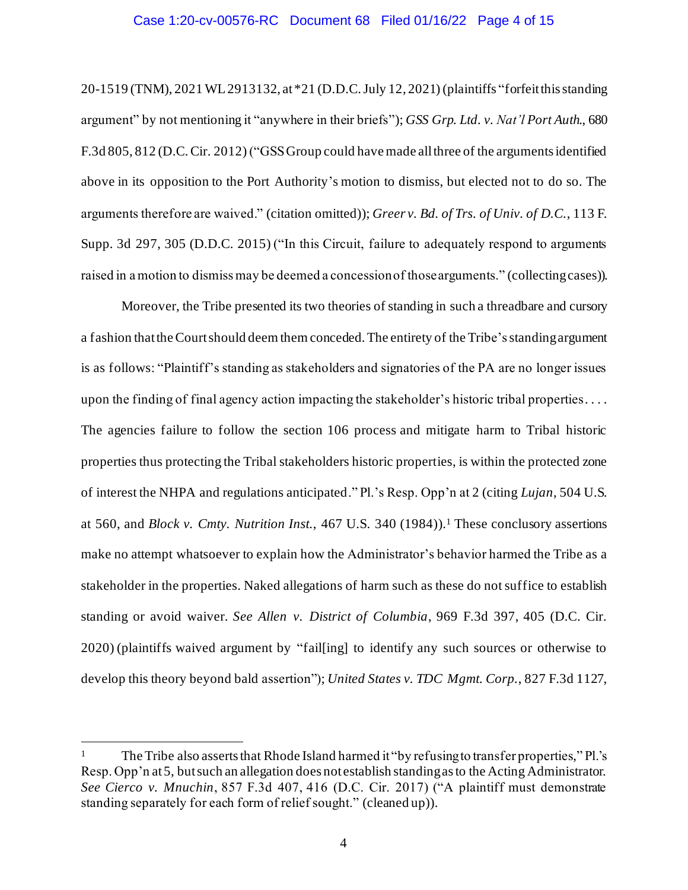## Case 1:20-cv-00576-RC Document 68 Filed 01/16/22 Page 4 of 15

20-1519 (TNM), 2021 WL 2913132, at \*21 (D.D.C. July 12, 2021) (plaintiffs "forfeit this standing argument" by not mentioning it "anywhere in their briefs"); *GSS Grp. Ltd. v. Nat'l Port Auth.*, 680 F.3d 805, 812 (D.C. Cir. 2012) ("GSSGroup could have made all three of the arguments identified above in its opposition to the Port Authority's motion to dismiss, but elected not to do so. The arguments therefore are waived." (citation omitted)); *Greer v. Bd. of Trs. of Univ. of D.C.*, 113 F. Supp. 3d 297, 305 (D.D.C. 2015) ("In this Circuit, failure to adequately respond to arguments raised in a motion to dismiss may be deemed a concession of those arguments." (collecting cases)).

Moreover, the Tribe presented its two theories of standing in such a threadbare and cursory a fashion that the Court should deem them conceded. The entirety of the Tribe's standing argument is as follows: "Plaintiff's standing as stakeholders and signatories of the PA are no longer issues upon the finding of final agency action impacting the stakeholder's historic tribal properties. . . . The agencies failure to follow the section 106 process and mitigate harm to Tribal historic properties thus protecting the Tribal stakeholders historic properties, is within the protected zone of interest the NHPA and regulations anticipated." Pl.'s Resp. Opp'n at 2 (citing *Lujan*, 504 U.S. at 560, and *Block v. Cmty. Nutrition Inst.*, 467 U.S. 340 (1984)).<sup>1</sup> These conclusory assertions make no attempt whatsoever to explain how the Administrator's behavior harmed the Tribe as a stakeholder in the properties. Naked allegations of harm such as these do not suffice to establish standing or avoid waiver. *See Allen v. District of Columbia*, 969 F.3d 397, 405 (D.C. Cir. 2020) (plaintiffs waived argument by "fail[ing] to identify any such sources or otherwise to develop this theory beyond bald assertion"); *United States v. TDC Mgmt. Corp.*, 827 F.3d 1127,

The Tribe also asserts that Rhode Island harmed it "by refusing to transfer properties," Pl.'s Resp. Opp'n at 5, but such an allegation does not establish standing as to the Acting Administrator. *See Cierco v. Mnuchin*, 857 F.3d 407, 416 (D.C. Cir. 2017) ("A plaintiff must demonstrate standing separately for each form of relief sought." (cleaned up)).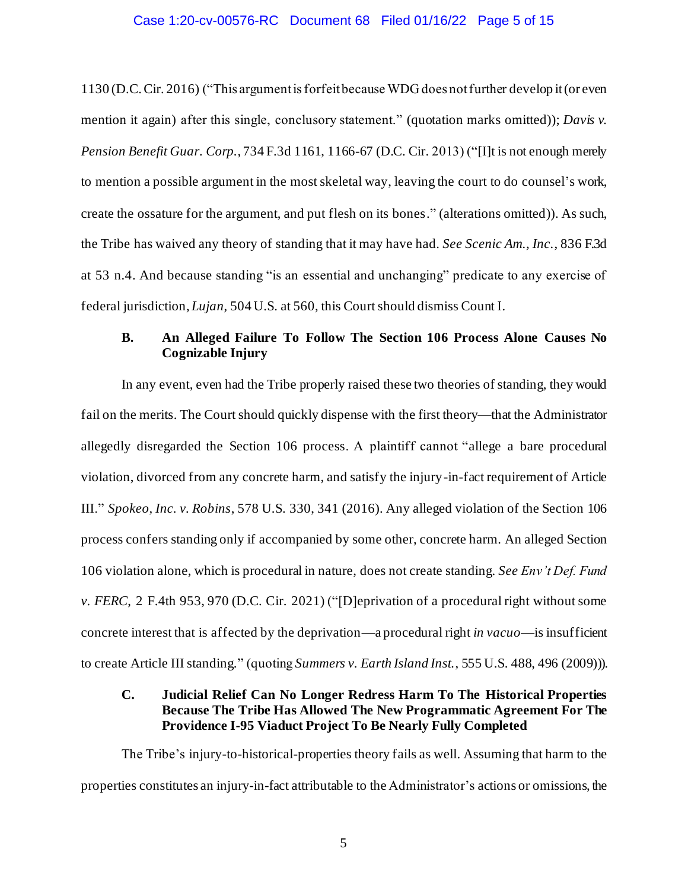## Case 1:20-cv-00576-RC Document 68 Filed 01/16/22 Page 5 of 15

1130 (D.C. Cir. 2016) ("This argument is forfeit because WDG does not further develop it (or even mention it again) after this single, conclusory statement." (quotation marks omitted)); *Davis v. Pension Benefit Guar. Corp.*, 734 F.3d 1161, 1166-67 (D.C. Cir. 2013) ("[I]t is not enough merely to mention a possible argument in the most skeletal way, leaving the court to do counsel's work, create the ossature for the argument, and put flesh on its bones." (alterations omitted)). As such, the Tribe has waived any theory of standing that it may have had. *See Scenic Am., Inc.*, 836 F.3d at 53 n.4. And because standing "is an essential and unchanging" predicate to any exercise of federal jurisdiction, *Lujan*, 504 U.S. at 560, this Court should dismiss Count I.

# **B. An Alleged Failure To Follow The Section 106 Process Alone Causes No Cognizable Injury**

In any event, even had the Tribe properly raised these two theories of standing, they would fail on the merits. The Court should quickly dispense with the first theory—that the Administrator allegedly disregarded the Section 106 process. A plaintiff cannot "allege a bare procedural violation, divorced from any concrete harm, and satisfy the injury-in-fact requirement of Article III." *Spokeo, Inc. v. Robins*, 578 U.S. 330, 341 (2016). Any alleged violation of the Section 106 process confers standing only if accompanied by some other, concrete harm. An alleged Section 106 violation alone, which is procedural in nature, does not create standing. *See Env't Def. Fund v. FERC*, 2 F.4th 953, 970 (D.C. Cir. 2021) ("[D]eprivation of a procedural right without some concrete interest that is affected by the deprivation—a procedural right *in vacuo*—is insufficient to create Article III standing." (quoting *Summers v. Earth Island Inst.*, 555 U.S. 488, 496 (2009))).

# **C. Judicial Relief Can No Longer Redress Harm To The Historical Properties Because The Tribe Has Allowed The New Programmatic Agreement For The Providence I-95 Viaduct Project To Be Nearly Fully Completed**

The Tribe's injury-to-historical-properties theory fails as well. Assuming that harm to the properties constitutes an injury-in-fact attributable to the Administrator's actions or omissions, the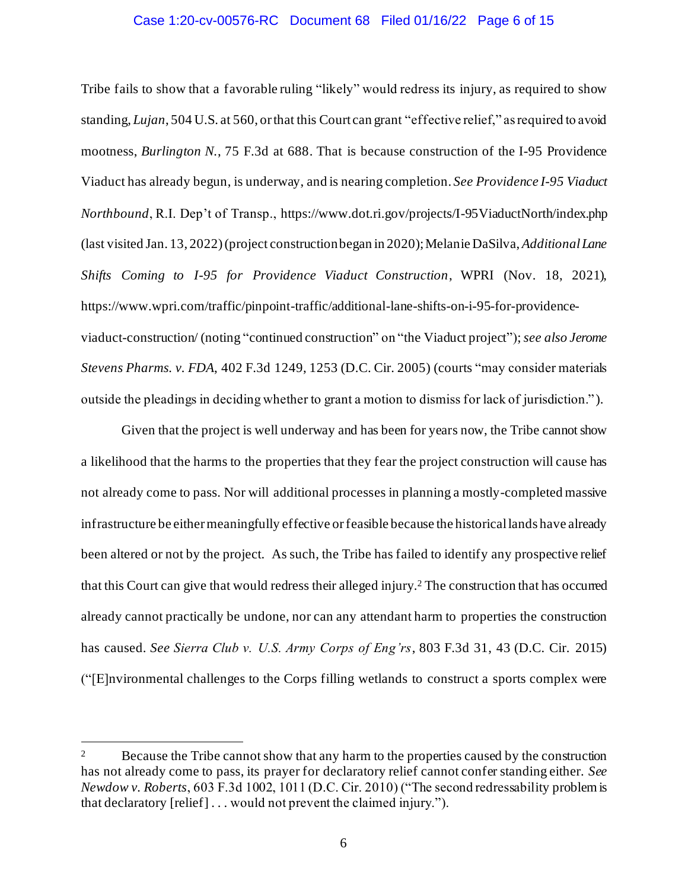## Case 1:20-cv-00576-RC Document 68 Filed 01/16/22 Page 6 of 15

Tribe fails to show that a favorable ruling "likely" would redress its injury, as required to show standing, *Lujan*, 504 U.S. at 560, or that this Court can grant "effective relief," as required to avoid mootness, *Burlington N.*, 75 F.3d at 688. That is because construction of the I-95 Providence Viaduct has already begun, is underway, and is nearing completion. *See Providence I-95 Viaduct Northbound*, R.I. Dep't of Transp., https://www.dot.ri.gov/projects/I-95ViaductNorth/index.php (last visited Jan. 13, 2022) (project construction began in 2020); Melanie DaSilva, *Additional Lane Shifts Coming to I-95 for Providence Viaduct Construction*, WPRI (Nov. 18, 2021), https://www.wpri.com/traffic/pinpoint-traffic/additional-lane-shifts-on-i-95-for-providenceviaduct-construction/ (noting "continued construction" on "the Viaduct project"); *see also Jerome Stevens Pharms. v. FDA*, 402 F.3d 1249, 1253 (D.C. Cir. 2005) (courts "may consider materials outside the pleadings in deciding whether to grant a motion to dismiss for lack of jurisdiction." ).

Given that the project is well underway and has been for years now, the Tribe cannot show a likelihood that the harms to the properties that they fear the project construction will cause has not already come to pass. Nor will additional processes in planning a mostly-completed massive infrastructure be either meaningfully effective or feasible because the historical lands have already been altered or not by the project. As such, the Tribe has failed to identify any prospective relief that this Court can give that would redress their alleged injury. <sup>2</sup> The construction that has occurred already cannot practically be undone, nor can any attendant harm to properties the construction has caused. *See Sierra Club v. U.S. Army Corps of Eng'rs*, 803 F.3d 31, 43 (D.C. Cir. 2015) ("[E]nvironmental challenges to the Corps filling wetlands to construct a sports complex were

<sup>&</sup>lt;sup>2</sup> Because the Tribe cannot show that any harm to the properties caused by the construction has not already come to pass, its prayer for declaratory relief cannot confer standing either. *See Newdow v. Roberts*, 603 F.3d 1002, 1011 (D.C. Cir. 2010) ("The second redressability problem is that declaratory [relief] . . . would not prevent the claimed injury.").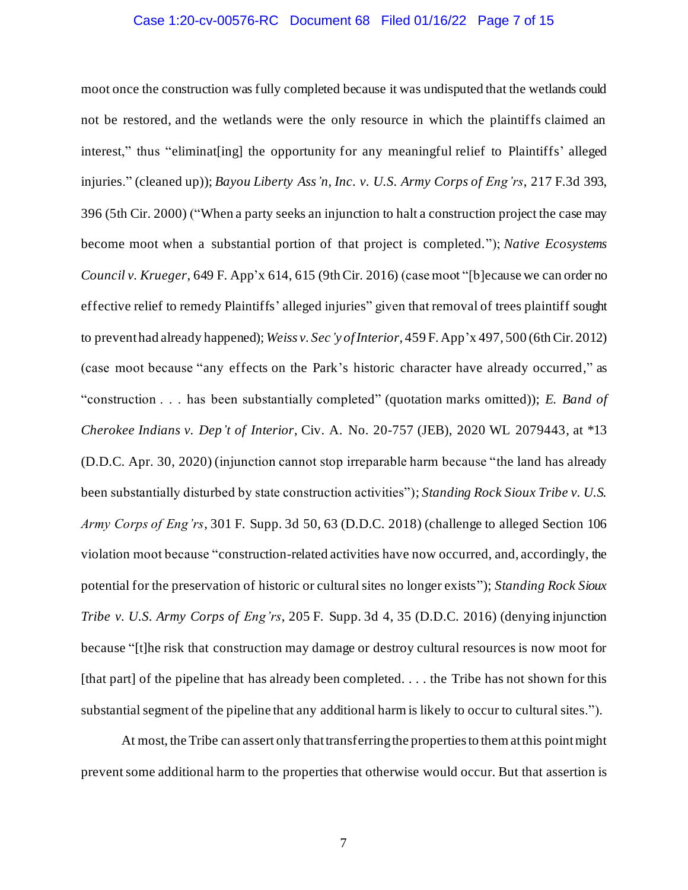## Case 1:20-cv-00576-RC Document 68 Filed 01/16/22 Page 7 of 15

moot once the construction was fully completed because it was undisputed that the wetlands could not be restored, and the wetlands were the only resource in which the plaintiffs claimed an interest," thus "eliminat[ing] the opportunity for any meaningful relief to Plaintiffs' alleged injuries." (cleaned up)); *Bayou Liberty Ass'n, Inc. v. U.S. Army Corps of Eng'rs*, 217 F.3d 393, 396 (5th Cir. 2000) ("When a party seeks an injunction to halt a construction project the case may become moot when a substantial portion of that project is completed."); *Native Ecosystems Council v. Krueger*, 649 F. App'x 614, 615 (9th Cir. 2016) (case moot "[b]ecause we can order no effective relief to remedy Plaintiffs' alleged injuries" given that removal of trees plaintiff sought to prevent had already happened); *Weiss v. Sec'y of Interior*, 459 F. App'x 497, 500 (6th Cir. 2012) (case moot because "any effects on the Park's historic character have already occurred," as "construction . . . has been substantially completed" (quotation marks omitted)); *E. Band of Cherokee Indians v. Dep't of Interior*, Civ. A. No. 20-757 (JEB), 2020 WL 2079443, at \*13 (D.D.C. Apr. 30, 2020) (injunction cannot stop irreparable harm because "the land has already been substantially disturbed by state construction activities"); *Standing Rock Sioux Tribe v. U.S. Army Corps of Eng'rs*, 301 F. Supp. 3d 50, 63 (D.D.C. 2018) (challenge to alleged Section 106 violation moot because "construction-related activities have now occurred, and, accordingly, the potential for the preservation of historic or cultural sites no longer exists"); *Standing Rock Sioux Tribe v. U.S. Army Corps of Eng'rs*, 205 F. Supp. 3d 4, 35 (D.D.C. 2016) (denying injunction because "[t]he risk that construction may damage or destroy cultural resources is now moot for [that part] of the pipeline that has already been completed.  $\dots$  the Tribe has not shown for this substantial segment of the pipeline that any additional harm is likely to occur to cultural sites.").

At most, the Tribe can assert only that transferring the properties to them at this point might prevent some additional harm to the properties that otherwise would occur. But that assertion is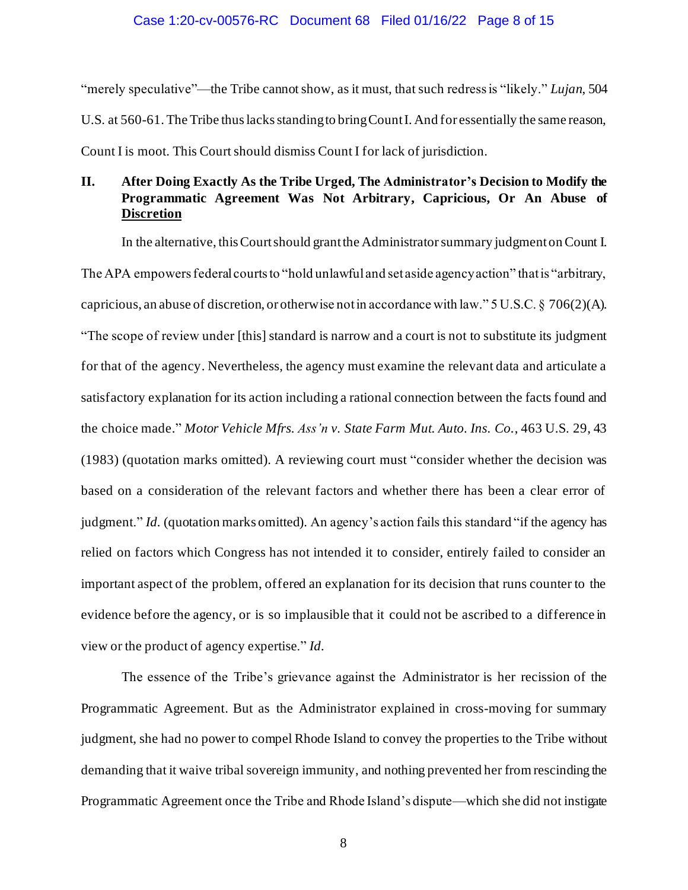## Case 1:20-cv-00576-RC Document 68 Filed 01/16/22 Page 8 of 15

"merely speculative"—the Tribe cannot show, as it must, that such redress is "likely." *Lujan*, 504 U.S. at 560-61. The Tribe thus lacks standing to bring Count I. And for essentially the same reason, Count I is moot. This Court should dismiss Count I for lack of jurisdiction.

# **II. After Doing Exactly As the Tribe Urged, The Administrator's Decision to Modify the Programmatic Agreement Was Not Arbitrary, Capricious, Or An Abuse of Discretion**

In the alternative, this Court should grant the Administratorsummary judgment on Count I. The APA empowers federal courts to "hold unlawful and set aside agency action" that is "arbitrary, capricious, an abuse of discretion, or otherwise not in accordance with law." 5 U.S.C. § 706(2)(A). "The scope of review under [this] standard is narrow and a court is not to substitute its judgment for that of the agency. Nevertheless, the agency must examine the relevant data and articulate a satisfactory explanation for its action including a rational connection between the facts found and the choice made." *Motor Vehicle Mfrs. Ass'n v. State Farm Mut. Auto. Ins. Co.*, 463 U.S. 29, 43 (1983) (quotation marks omitted). A reviewing court must "consider whether the decision was based on a consideration of the relevant factors and whether there has been a clear error of judgment." *Id.* (quotation marks omitted). An agency's action fails this standard "if the agency has relied on factors which Congress has not intended it to consider, entirely failed to consider an important aspect of the problem, offered an explanation for its decision that runs counter to the evidence before the agency, or is so implausible that it could not be ascribed to a difference in view or the product of agency expertise." *Id.*

The essence of the Tribe's grievance against the Administrator is her recission of the Programmatic Agreement. But as the Administrator explained in cross-moving for summary judgment, she had no power to compel Rhode Island to convey the properties to the Tribe without demanding that it waive tribal sovereign immunity, and nothing prevented her from rescinding the Programmatic Agreement once the Tribe and Rhode Island's dispute—which she did not instigate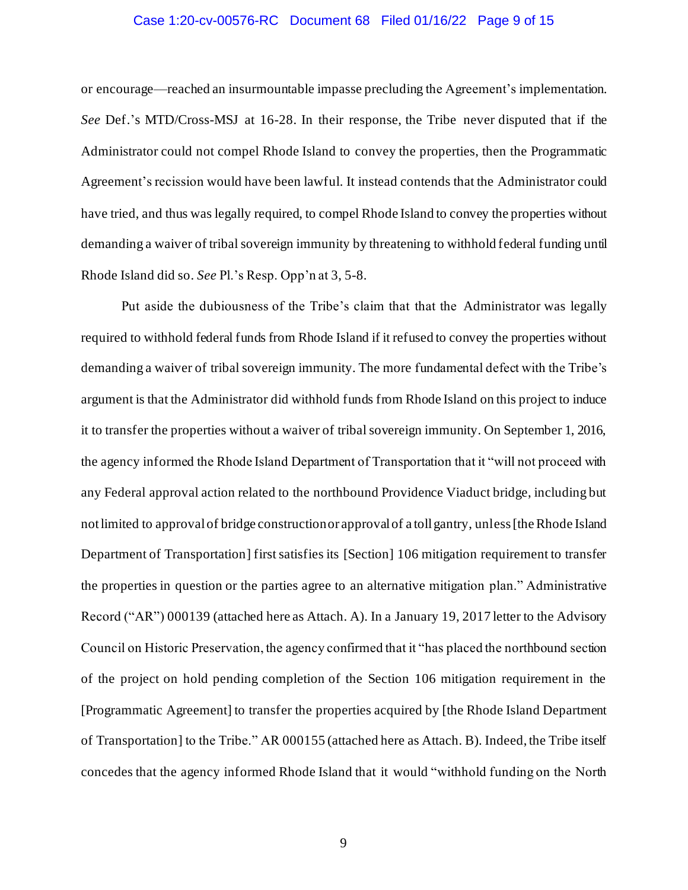## Case 1:20-cv-00576-RC Document 68 Filed 01/16/22 Page 9 of 15

or encourage—reached an insurmountable impasse precluding the Agreement's implementation. *See* Def.'s MTD/Cross-MSJ at 16-28. In their response, the Tribe never disputed that if the Administrator could not compel Rhode Island to convey the properties, then the Programmatic Agreement's recission would have been lawful. It instead contends that the Administrator could have tried, and thus was legally required, to compel Rhode Island to convey the properties without demanding a waiver of tribal sovereign immunity by threatening to withhold federal funding until Rhode Island did so. *See* Pl.'s Resp. Opp'n at 3, 5-8.

Put aside the dubiousness of the Tribe's claim that that the Administrator was legally required to withhold federal funds from Rhode Island if it refused to convey the properties without demanding a waiver of tribal sovereign immunity. The more fundamental defect with the Tribe's argument is that the Administrator did withhold funds from Rhode Island on this project to induce it to transfer the properties without a waiver of tribal sovereign immunity. On September 1, 2016, the agency informed the Rhode Island Department of Transportation that it "will not proceed with any Federal approval action related to the northbound Providence Viaduct bridge, including but not limited to approval of bridge construction or approval of a toll gantry, unless [the Rhode Island Department of Transportation] first satisfies its [Section] 106 mitigation requirement to transfer the properties in question or the parties agree to an alternative mitigation plan." Administrative Record ("AR") 000139 (attached here as Attach. A). In a January 19, 2017 letter to the Advisory Council on Historic Preservation, the agency confirmed that it "has placed the northbound section of the project on hold pending completion of the Section 106 mitigation requirement in the [Programmatic Agreement] to transfer the properties acquired by [the Rhode Island Department of Transportation] to the Tribe." AR 000155 (attached here as Attach. B). Indeed, the Tribe itself concedes that the agency informed Rhode Island that it would "withhold funding on the North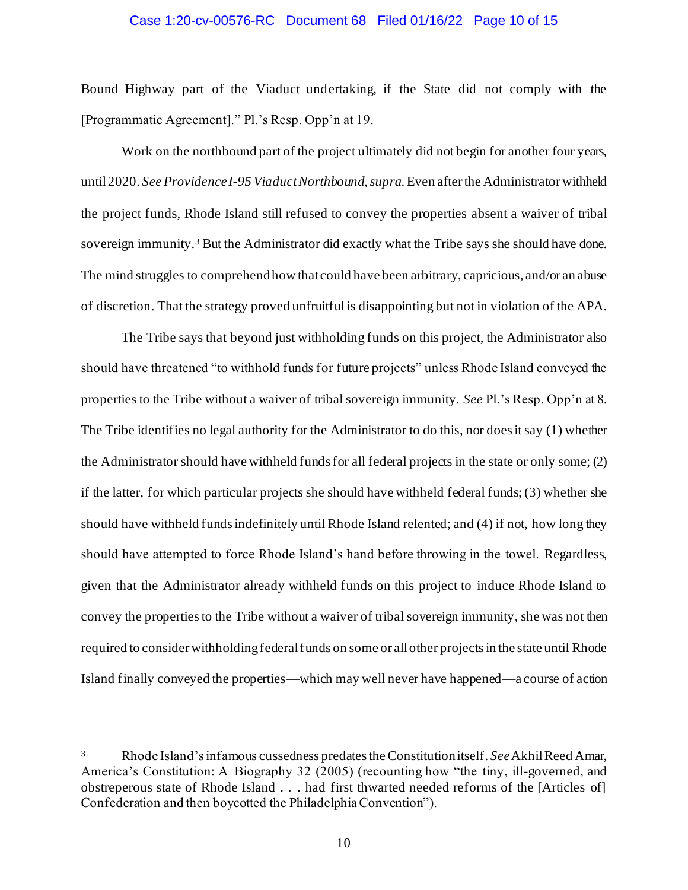## Case 1:20-cv-00576-RC Document 68 Filed 01/16/22 Page 10 of 15

Bound Highway part of the Viaduct undertaking, if the State did not comply with the [Programmatic Agreement]." Pl.'s Resp. Opp'n at 19.

Work on the northbound part of the project ultimately did not begin for another four years, until 2020. *See Providence I-95 Viaduct Northbound*, *supra*. Even afterthe Administrator withheld the project funds, Rhode Island still refused to convey the properties absent a waiver of tribal sovereign immunity.<sup>3</sup> But the Administrator did exactly what the Tribe says she should have done. The mind struggles to comprehendhow that could have been arbitrary, capricious, and/or an abuse of discretion. That the strategy proved unfruitful is disappointing but not in violation of the APA.

The Tribe says that beyond just withholding funds on this project, the Administrator also should have threatened "to withhold funds for future projects" unless Rhode Island conveyed the properties to the Tribe without a waiver of tribal sovereign immunity. *See* Pl.'s Resp. Opp'n at 8. The Tribe identifies no legal authority for the Administrator to do this, nor does it say (1) whether the Administrator should have withheld funds for all federal projects in the state or only some; (2) if the latter, for which particular projects she should have withheld federal funds; (3) whether she should have withheld funds indefinitely until Rhode Island relented; and (4) if not, how long they should have attempted to force Rhode Island's hand before throwing in the towel. Regardless, given that the Administrator already withheld funds on this project to induce Rhode Island to convey the propertiesto the Tribe without a waiver of tribal sovereign immunity, she was not then required to consider withholding federal funds on some or all other projects in the state until Rhode Island finally conveyed the properties—which may well never have happened—a course of action

<sup>3</sup> Rhode Island's infamous cussedness predates the Constitutionitself. *See* Akhil Reed Amar, America's Constitution: A Biography 32 (2005) (recounting how "the tiny, ill-governed, and obstreperous state of Rhode Island . . . had first thwarted needed reforms of the [Articles of] Confederation and then boycotted the Philadelphia Convention").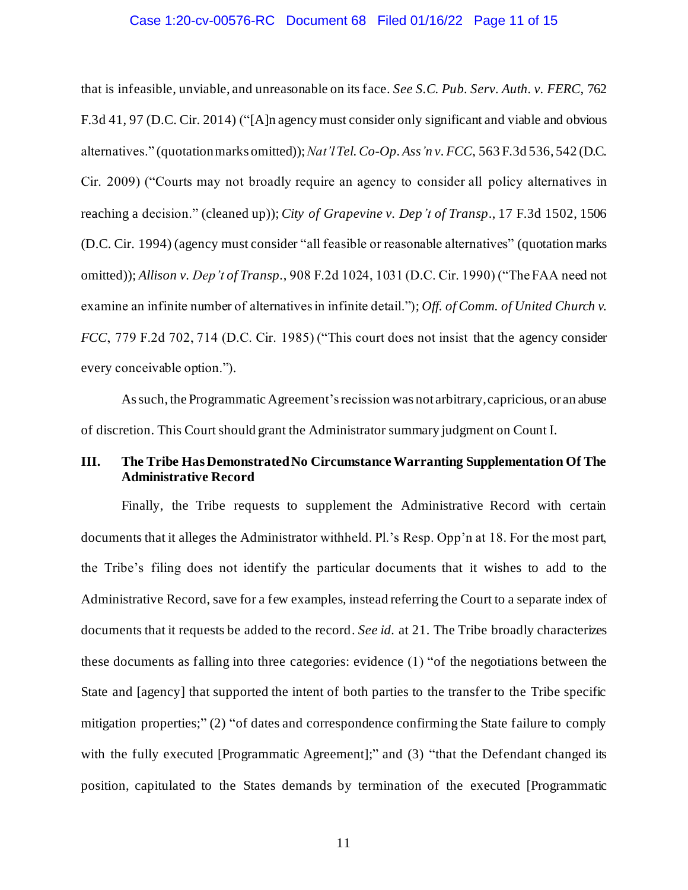## Case 1:20-cv-00576-RC Document 68 Filed 01/16/22 Page 11 of 15

that is infeasible, unviable, and unreasonable on its face. *See S.C. Pub. Serv. Auth. v. FERC*, 762 F.3d 41, 97 (D.C. Cir. 2014) ("[A]n agency must consider only significant and viable and obvious alternatives." (quotation marks omitted)); *Nat'lTel.Co-Op. Ass'n v. FCC*, 563 F.3d 536, 542 (D.C. Cir. 2009) ("Courts may not broadly require an agency to consider all policy alternatives in reaching a decision." (cleaned up)); *City of Grapevine v. Dep't of Transp*., 17 F.3d 1502, 1506 (D.C. Cir. 1994) (agency must consider "all feasible or reasonable alternatives" (quotation marks omitted)); *Allison v. Dep't of Transp.*, 908 F.2d 1024, 1031 (D.C. Cir. 1990) ("The FAA need not examine an infinite number of alternatives in infinite detail."); *Off. of Comm. of United Church v. FCC*, 779 F.2d 702, 714 (D.C. Cir. 1985) ("This court does not insist that the agency consider every conceivable option.").

As such, the Programmatic Agreement's recission was not arbitrary, capricious, or an abuse of discretion. This Court should grant the Administrator summary judgment on Count I.

# **III. The Tribe Has Demonstrated No Circumstance Warranting Supplementation Of The Administrative Record**

Finally, the Tribe requests to supplement the Administrative Record with certain documents that it alleges the Administrator withheld. Pl.'s Resp. Opp'n at 18. For the most part, the Tribe's filing does not identify the particular documents that it wishes to add to the Administrative Record, save for a few examples, instead referring the Court to a separate index of documents that it requests be added to the record. *See id.* at 21. The Tribe broadly characterizes these documents as falling into three categories: evidence (1) "of the negotiations between the State and [agency] that supported the intent of both parties to the transfer to the Tribe specific mitigation properties;" (2) "of dates and correspondence confirming the State failure to comply with the fully executed [Programmatic Agreement];" and (3) "that the Defendant changed its position, capitulated to the States demands by termination of the executed [Programmatic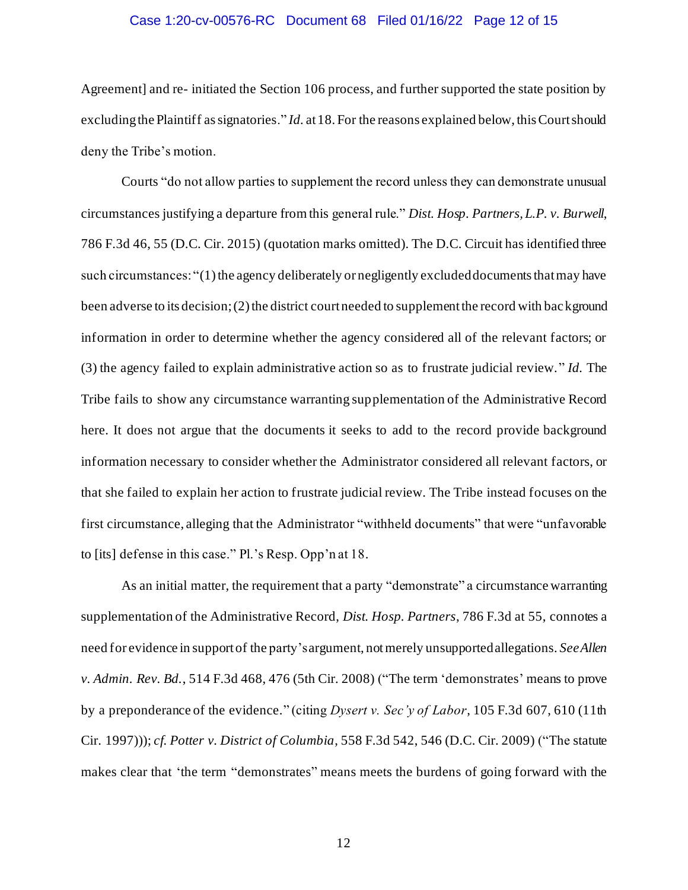## Case 1:20-cv-00576-RC Document 68 Filed 01/16/22 Page 12 of 15

Agreement] and re- initiated the Section 106 process, and further supported the state position by excludingthe Plaintiff as signatories." *Id.* at 18. For the reasons explained below, this Court should deny the Tribe's motion.

Courts "do not allow parties to supplement the record unless they can demonstrate unusual circumstances justifying a departure from this general rule." *Dist. Hosp. Partners, L.P. v. Burwell*, 786 F.3d 46, 55 (D.C. Cir. 2015) (quotation marks omitted). The D.C. Circuit has identified three such circumstances: "(1) the agency deliberately or negligently excluded documents that may have been adverse to its decision; (2) the district court needed to supplement the record with background information in order to determine whether the agency considered all of the relevant factors; or (3) the agency failed to explain administrative action so as to frustrate judicial review." *Id.* The Tribe fails to show any circumstance warranting supplementation of the Administrative Record here. It does not argue that the documents it seeks to add to the record provide background information necessary to consider whether the Administrator considered all relevant factors, or that she failed to explain her action to frustrate judicial review. The Tribe instead focuses on the first circumstance, alleging that the Administrator "withheld documents" that were "unfavorable to [its] defense in this case." Pl.'s Resp. Opp'n at 18.

As an initial matter, the requirement that a party "demonstrate" a circumstance warranting supplementation of the Administrative Record, *Dist. Hosp. Partners*, 786 F.3d at 55, connotes a need for evidence in support of the party's argument, not merely unsupported allegations. *See Allen v. Admin. Rev. Bd.*, 514 F.3d 468, 476 (5th Cir. 2008) ("The term 'demonstrates' means to prove by a preponderance of the evidence." (citing *Dysert v. Sec'y of Labor*, 105 F.3d 607, 610 (11th Cir. 1997))); *cf. Potter v. District of Columbia*, 558 F.3d 542, 546 (D.C. Cir. 2009) ("The statute makes clear that 'the term "demonstrates" means meets the burdens of going forward with the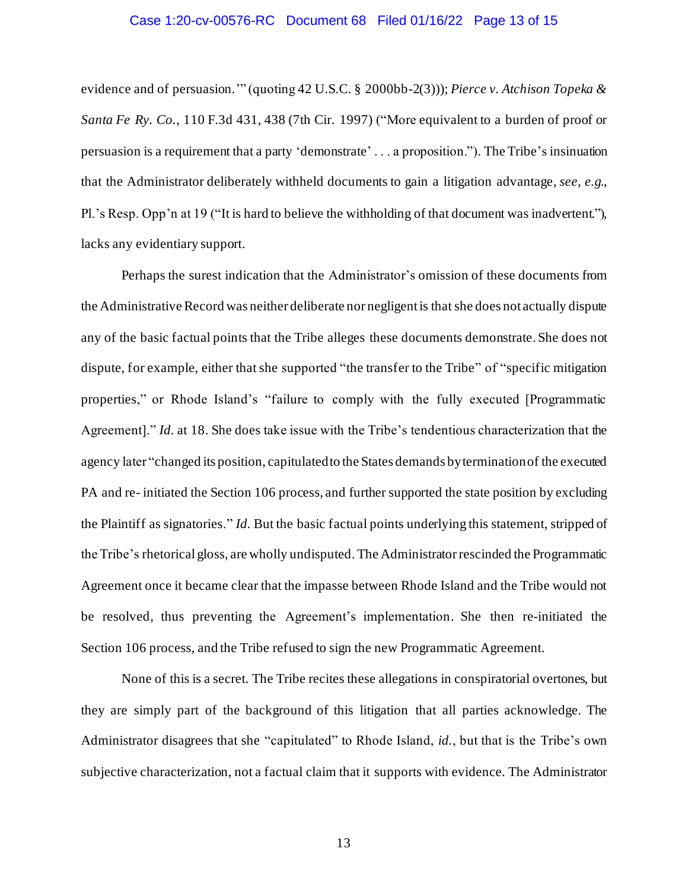### Case 1:20-cv-00576-RC Document 68 Filed 01/16/22 Page 13 of 15

evidence and of persuasion.'" (quoting 42 U.S.C. § 2000bb-2(3))); *Pierce v. Atchison Topeka & Santa Fe Ry. Co.*, 110 F.3d 431, 438 (7th Cir. 1997) ("More equivalent to a burden of proof or persuasion is a requirement that a party 'demonstrate' . . . a proposition."). The Tribe's insinuation that the Administrator deliberately withheld documents to gain a litigation advantage, *see, e.g.*, Pl.'s Resp. Opp'n at 19 ("It is hard to believe the withholding of that document was inadvertent."), lacks any evidentiary support.

Perhaps the surest indication that the Administrator's omission of these documents from the Administrative Record was neither deliberate nor negligent is that she does not actually dispute any of the basic factual points that the Tribe alleges these documents demonstrate. She does not dispute, for example, either that she supported "the transfer to the Tribe" of "specific mitigation properties," or Rhode Island's "failure to comply with the fully executed [Programmatic Agreement]." *Id.* at 18. She does take issue with the Tribe's tendentious characterization that the agency later "changed its position, capitulated to the States demands by termination of the executed PA and re- initiated the Section 106 process, and further supported the state position by excluding the Plaintiff as signatories." *Id.* But the basic factual points underlying this statement, stripped of the Tribe's rhetorical gloss, are wholly undisputed. The Administratorrescinded the Programmatic Agreement once it became clear that the impasse between Rhode Island and the Tribe would not be resolved, thus preventing the Agreement's implementation. She then re-initiated the Section 106 process, and the Tribe refused to sign the new Programmatic Agreement.

None of this is a secret. The Tribe recites these allegations in conspiratorial overtones, but they are simply part of the background of this litigation that all parties acknowledge. The Administrator disagrees that she "capitulated" to Rhode Island, *id.*, but that is the Tribe's own subjective characterization, not a factual claim that it supports with evidence. The Administrator

13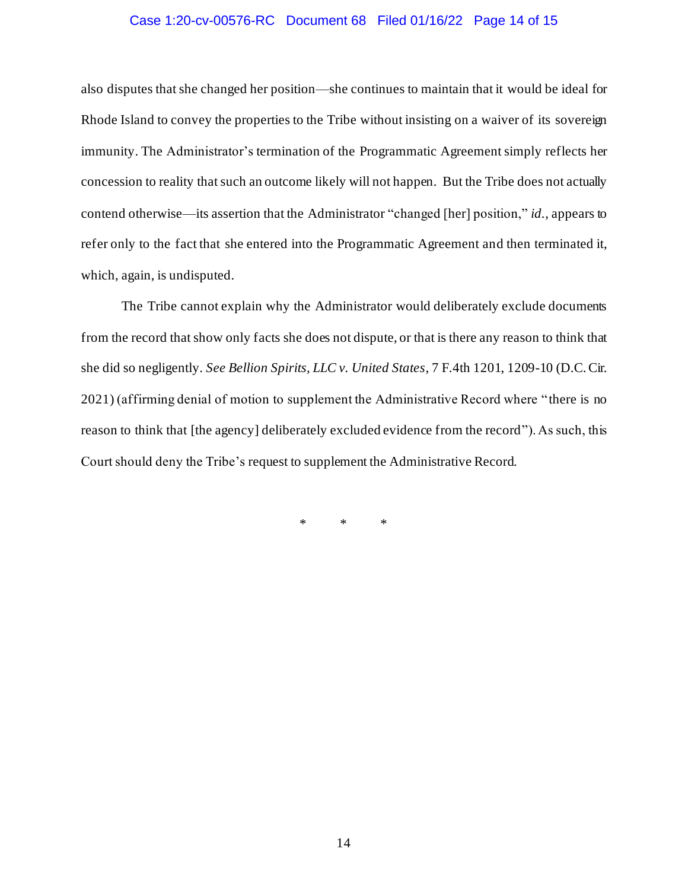## Case 1:20-cv-00576-RC Document 68 Filed 01/16/22 Page 14 of 15

also disputes that she changed her position—she continues to maintain that it would be ideal for Rhode Island to convey the properties to the Tribe without insisting on a waiver of its sovereign immunity. The Administrator's termination of the Programmatic Agreement simply reflects her concession to reality that such an outcome likely will not happen. But the Tribe does not actually contend otherwise—its assertion that the Administrator "changed [her] position," *id.*, appears to refer only to the fact that she entered into the Programmatic Agreement and then terminated it, which, again, is undisputed.

The Tribe cannot explain why the Administrator would deliberately exclude documents from the record that show only facts she does not dispute, or that is there any reason to think that she did so negligently. *See Bellion Spirits, LLC v. United States*, 7 F.4th 1201, 1209-10 (D.C. Cir. 2021) (affirming denial of motion to supplement the Administrative Record where "there is no reason to think that [the agency] deliberately excluded evidence from the record"). As such, this Court should deny the Tribe's request to supplement the Administrative Record.

\* \* \*